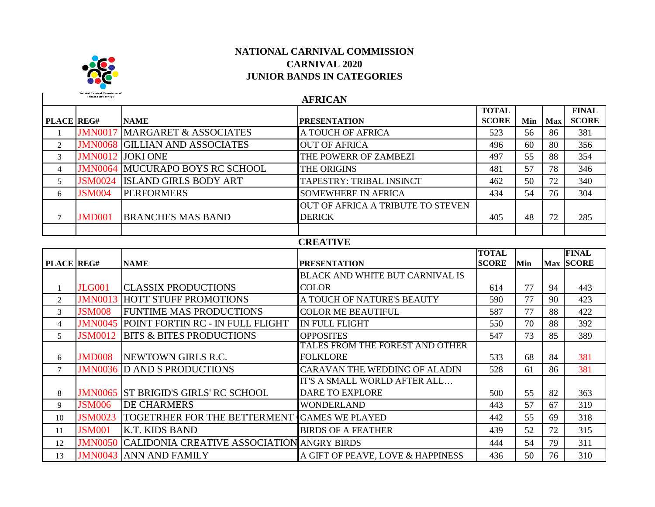

**Trinidad and Tohon** 

## **NATIONAL CARNIVAL COMMISSION CARNIVAL 2020 JUNIOR BANDS IN CATEGORIES**

**PLACE REG# NAME PRESENTATION TOTAL SCORE Min Max FINAL SCORE** 1 **JMN0017 MARGARET & ASSOCIATES** A TOUCH OF AFRICA  $\begin{array}{|c|c|c|c|c|c|c|c|} \hline \end{array}$  523  $\begin{array}{|c|c|c|c|c|c|c|c|c|} \hline \end{array}$  56 | 86 | 381 2 JIMN0068 GILLIAN AND ASSOCIATES OUT OF AFRICA  $\vert$  496 60 80  $\vert$  356 3 **JMN0012 JOKI ONE** THE POWERR OF ZAMBEZI 497 55 88 354 4 **JMN0064 MUCURAPO BOYS RC SCHOOL** THE ORIGINS 481 481 57 78 346 5 JSM0024 ISLAND GIRLS BODY ART TAPESTRY: TRIBAL INSINCT 462 50 72 340 6 **JSM004 PERFORMERS** SOMEWHERE IN AFRICA 1 434 54 76 304 7 JMD001 BRANCHES MAS BAND OUT OF AFRICA A TRIBUTE TO STEVEN DERICK 105 405 48 72 285 **PLACE REG# NAME PRESENTATION TOTAL SCORE Min FINAL Max SCORE** 1 JLG001 CLASSIX PRODUCTIONS BLACK AND WHITE BUT CARNIVAL IS COLOR 614 77 94 443 2 **JMN0013 HOTT STUFF PROMOTIONS** A TOUCH OF NATURE'S BEAUTY 1 590 77 90 423 3 **JSM008** FUNTIME MAS PRODUCTIONS COLOR ME BEAUTIFUL 587 77 88 422 4 JUNN0045 POINT FORTIN RC - IN FULL FLIGHT IN FULL FLIGHT  $\frac{1}{550}$  550  $\frac{1}{70}$  88  $\frac{392}{392}$ 5 | **JSM0012** | BITS & BITES PRODUCTIONS OPPOSITES | 547 | 73 | 85 | 389 6 JMD008 NEWTOWN GIRLS R.C. TALES FROM THE FOREST AND OTHER FOLKLORE 1 533 68 84 381 7 JIMN0036 D AND S PRODUCTIONS CARAVAN THE WEDDING OF ALADIN 528 61 86 381 8 JMN0065 ST BRIGID'S GIRLS' RC SCHOOL IT'S A SMALL WORLD AFTER ALL… DARE TO EXPLORE  $\begin{array}{|c|c|c|c|c|c|c|c|c|} \hline \text{DARE TO EXPLORE} & \text{500} & \text{55} & \text{82} & \text{363} \ \hline \end{array}$ 9 **JSM006 DE CHARMERS** WONDERLAND 1443 57 67 319 **AFRICAN CREATIVE**

**JSM0023** TOGETRHER FOR THE BETTERMENT GAMES WE PLAYED  $\begin{array}{|c|c|c|c|c|c|c|c|} \hline &442 & 55 & 69 & 318 \hline \end{array}$ **JSM001 K.T. KIDS BAND** BIRDS OF A FEATHER 439 52 72 315 JMN0050 CALIDONIA CREATIVE ASSOCIATION ANGRY BIRDS 444 54 79 311 **JMN0043 ANN AND FAMILY** A GIFT OF PEAVE, LOVE & HAPPINESS 436 50 76 310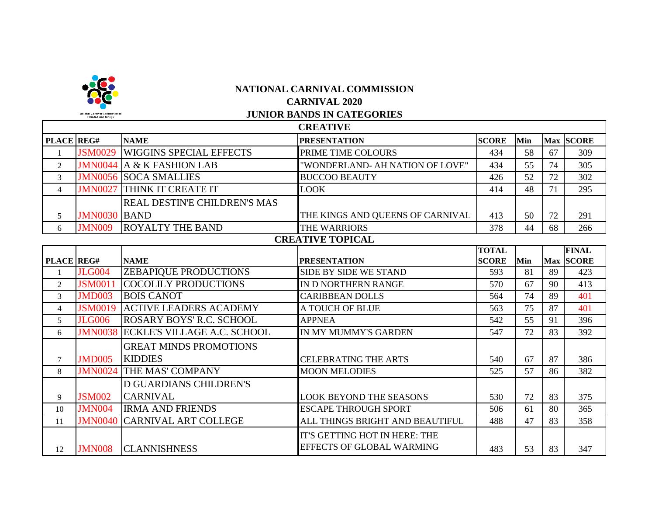

|                |                     |                                    | <b>CREATIVE</b>                                                   |              |     |    |              |
|----------------|---------------------|------------------------------------|-------------------------------------------------------------------|--------------|-----|----|--------------|
| PLACE REG#     |                     | <b>NAME</b>                        | <b>PRESENTATION</b>                                               | <b>SCORE</b> | Min |    | Max SCORE    |
|                | <b>JSM0029</b>      | <b>WIGGINS SPECIAL EFFECTS</b>     | PRIME TIME COLOURS                                                | 434          | 58  | 67 | 309          |
| $\overline{2}$ | <b>JMN0044</b>      | <b>A &amp; K FASHION LAB</b>       | "WONDERLAND- AH NATION OF LOVE"                                   | 434          | 55  | 74 | 305          |
| 3              | <b>JMN0056</b>      | <b>SOCA SMALLIES</b>               | <b>BUCCOO BEAUTY</b>                                              | 426          | 52  | 72 | 302          |
| $\overline{4}$ | <b>JMN0027</b>      | THINK IT CREATE IT                 | <b>LOOK</b>                                                       | 414          | 48  | 71 | 295          |
|                |                     | REAL DESTIN'E CHILDREN'S MAS       |                                                                   |              |     |    |              |
| 5              | <b>JMN0030 BAND</b> |                                    | THE KINGS AND QUEENS OF CARNIVAL                                  | 413          | 50  | 72 | 291          |
| 6              | <b>JMN009</b>       | <b>ROYALTY THE BAND</b>            | THE WARRIORS                                                      | 378          | 44  | 68 | 266          |
|                |                     |                                    | <b>CREATIVE TOPICAL</b>                                           |              |     |    |              |
|                |                     |                                    |                                                                   | <b>TOTAL</b> |     |    | <b>FINAL</b> |
| PLACE REG#     |                     | <b>NAME</b>                        | <b>PRESENTATION</b>                                               | <b>SCORE</b> | Min |    | Max SCORE    |
|                | <b>JLG004</b>       | <b>ZEBAPIQUE PRODUCTIONS</b>       | SIDE BY SIDE WE STAND                                             | 593          | 81  | 89 | 423          |
| $\overline{2}$ | <b>JSM0011</b>      | <b>COCOLILY PRODUCTIONS</b>        | IN D NORTHERN RANGE                                               | 570          | 67  | 90 | 413          |
| 3              | <b>JMD003</b>       | <b>BOIS CANOT</b>                  | <b>CARIBBEAN DOLLS</b>                                            | 564          | 74  | 89 | 401          |
| $\overline{4}$ | <b>JSM0019</b>      | <b>ACTIVE LEADERS ACADEMY</b>      | A TOUCH OF BLUE                                                   | 563          | 75  | 87 | 401          |
| 5              | <b>JLG006</b>       | <b>ROSARY BOYS' R.C. SCHOOL</b>    | <b>APPNEA</b>                                                     | 542          | 55  | 91 | 396          |
| 6              | <b>JMN0038</b>      | <b>ECKLE'S VILLAGE A.C. SCHOOL</b> | IN MY MUMMY'S GARDEN                                              | 547          | 72  | 83 | 392          |
|                |                     | <b>GREAT MINDS PROMOTIONS</b>      |                                                                   |              |     |    |              |
| $\overline{7}$ | <b>JMD005</b>       | <b>KIDDIES</b>                     | <b>CELEBRATING THE ARTS</b>                                       | 540          | 67  | 87 | 386          |
| 8              | <b>JMN0024</b>      | THE MAS' COMPANY                   | <b>MOON MELODIES</b>                                              | 525          | 57  | 86 | 382          |
|                |                     | <b>D GUARDIANS CHILDREN'S</b>      |                                                                   |              |     |    |              |
| 9              | <b>JSM002</b>       | <b>CARNIVAL</b>                    | <b>LOOK BEYOND THE SEASONS</b>                                    | 530          | 72  | 83 | 375          |
| 10             | <b>JMN004</b>       | <b>IRMA AND FRIENDS</b>            | <b>ESCAPE THROUGH SPORT</b>                                       | 506          | 61  | 80 | 365          |
| 11             | <b>JMN0040</b>      | <b>CARNIVAL ART COLLEGE</b>        | ALL THINGS BRIGHT AND BEAUTIFUL                                   | 488          | 47  | 83 | 358          |
| 12             | <b>JMN008</b>       | <b>CLANNISHNESS</b>                | IT'S GETTING HOT IN HERE: THE<br><b>EFFECTS OF GLOBAL WARMING</b> | 483          | 53  | 83 | 347          |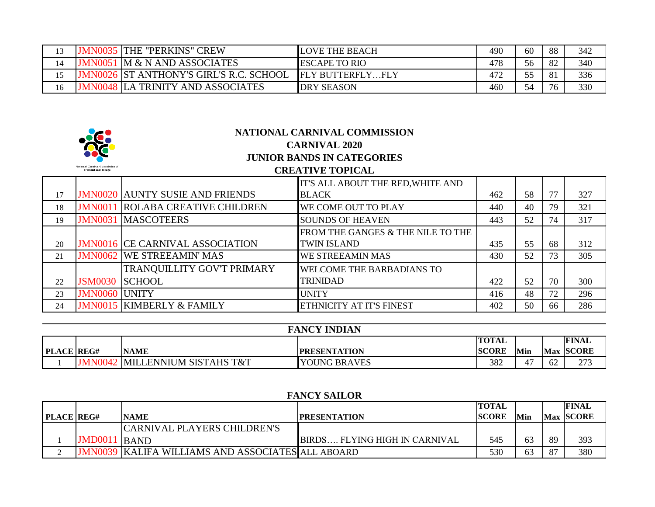|    | <b>IMN003.</b> | THE "PERKINS" CREW                             | <b>LOVE THE BEACH</b> | 490 | 60 | 88  | 342 |
|----|----------------|------------------------------------------------|-----------------------|-----|----|-----|-----|
|    |                | <b>JMN0051 M &amp; N AND ASSOCIATES</b>        | <b>ESCAPE TO RIO</b>  | 478 | 56 | -82 | 340 |
|    |                | <b>JMN0026 ST ANTHONY'S GIRL'S R.C. SCHOOL</b> | <b>FLY BUTTERFLY</b>  | 472 | cc | -81 | 336 |
| lб |                | LA TRINITY AND ASSOCIATES                      | <b>DRY SEASON</b>     | 460 | 54 | 76  | 330 |

|    |                                        |                                        | NATIONAL CARNIVAL COMMISSION<br><b>CARNIVAL 2020</b> |     |    |    |     |
|----|----------------------------------------|----------------------------------------|------------------------------------------------------|-----|----|----|-----|
|    |                                        |                                        | <b>JUNIOR BANDS IN CATEGORIES</b>                    |     |    |    |     |
|    | <b>National Carnival Commission of</b> |                                        | <b>CREATIVE TOPICAL</b>                              |     |    |    |     |
|    |                                        |                                        | IT'S ALL ABOUT THE RED, WHITE AND                    |     |    |    |     |
| 17 |                                        | <b>JMN0020 AUNTY SUSIE AND FRIENDS</b> | <b>BLACK</b>                                         | 462 | 58 | 77 | 327 |
| 18 | <b>JMN0011</b>                         | <b>ROLABA CREATIVE CHILDREN</b>        | WE COME OUT TO PLAY                                  | 440 | 40 | 79 | 321 |
| 19 | <b>JMN0031</b>                         | <b>MASCOTEERS</b>                      | <b>SOUNDS OF HEAVEN</b>                              | 443 | 52 | 74 | 317 |
|    |                                        |                                        | FROM THE GANGES & THE NILE TO THE                    |     |    |    |     |
| 20 |                                        | <b>JMN0016 CE CARNIVAL ASSOCIATION</b> | <b>TWIN ISLAND</b>                                   | 435 | 55 | 68 | 312 |
| 21 |                                        | <b>JMN0062 WE STREEAMIN' MAS</b>       | WE STREEAMIN MAS                                     | 430 | 52 | 73 | 305 |
|    |                                        | TRANQUILLITY GOV'T PRIMARY             | WELCOME THE BARBADIANS TO                            |     |    |    |     |
| 22 | <b>JSM0030</b>                         | <b>SCHOOL</b>                          | TRINIDAD                                             | 422 | 52 | 70 | 300 |
| 23 | <b>JMN0060</b>                         | <b>UNITY</b>                           | UNITY                                                | 416 | 48 | 72 | 296 |
| 24 |                                        | <b>JMN0015 KIMBERLY &amp; FAMILY</b>   | <b>ETHNICITY AT IT'S FINEST</b>                      | 402 | 50 | 66 | 286 |

|                   | <b>FANCY INDIAN</b> |                               |                     |              |                      |    |              |  |  |  |
|-------------------|---------------------|-------------------------------|---------------------|--------------|----------------------|----|--------------|--|--|--|
|                   |                     |                               |                     | <b>TOTAL</b> |                      |    | <b>FINAL</b> |  |  |  |
| <b>PLACE REG#</b> |                     | <b>NAME</b>                   | <b>PRESENTATION</b> | <b>SCORE</b> | 'Min                 |    | Max SCORE    |  |  |  |
|                   |                     | MN0042 MILLENNIUM SISTAHS T&T | <b>YOUNG BRAVES</b> | 382          | $\overline{A}$<br>4, | 62 | 273          |  |  |  |

## **FANCY SAILOR**

|                   |                |                                                          |                                       | <b>TOTAL</b> |            |    | <b>FINAL</b> |
|-------------------|----------------|----------------------------------------------------------|---------------------------------------|--------------|------------|----|--------------|
| <b>PLACE REG#</b> |                | <b>NAME</b>                                              | <b>IPRESENTATION</b>                  | <b>SCORE</b> | <b>Min</b> |    | Max SCORE    |
|                   |                | <b>CARNIVAL PLAYERS CHILDREN'S</b>                       |                                       |              |            |    |              |
|                   | <b>JMD0011</b> | <b>BAND</b>                                              | <b>IBIRDS FLYING HIGH IN CARNIVAL</b> | 545          | 63         | 89 | 393          |
|                   |                | <b>JMN0039 KALIFA WILLIAMS AND ASSOCIATES ALL ABOARD</b> |                                       | 530          | 63         | 87 | 380          |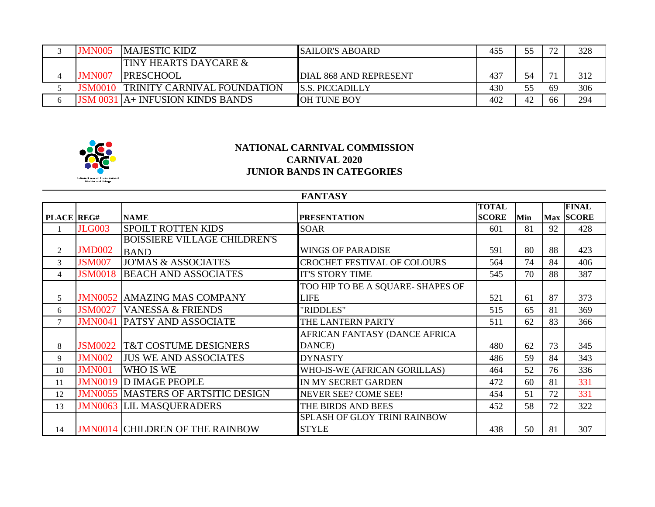| <b>JMN005</b> | <b>MAJESTIC KIDZ</b>             | <b>ISAILOR'S ABOARD</b> | 455 |    | 72<br>∸ | 328 |
|---------------|----------------------------------|-------------------------|-----|----|---------|-----|
|               | <b>TINY HEARTS DAYCARE &amp;</b> |                         |     |    |         |     |
| <b>JMN007</b> | <b>IPRESCHOOL</b>                | DIAL 868 AND REPRESENT  | 437 |    | 71      | 312 |
| JSM0010       | TRINITY CARNIVAL FOUNDATION      | <b>S.S. PICCADILLY</b>  | 430 |    | 69      | 306 |
|               | JSM 0031 A+ INFUSION KINDS BANDS | OH TUNE BOY             | 402 | 42 | 66      | 294 |



|                | <b>FANTASY</b> |                                        |                                    |              |     |    |              |  |  |  |  |
|----------------|----------------|----------------------------------------|------------------------------------|--------------|-----|----|--------------|--|--|--|--|
|                |                |                                        |                                    | <b>TOTAL</b> |     |    | <b>FINAL</b> |  |  |  |  |
| PLACE REG#     |                | <b>NAME</b>                            | <b>PRESENTATION</b>                | <b>SCORE</b> | Min |    | Max SCORE    |  |  |  |  |
|                | <b>JLG003</b>  | <b>SPOILT ROTTEN KIDS</b>              | <b>SOAR</b>                        | 601          | 81  | 92 | 428          |  |  |  |  |
|                |                | <b>BOISSIERE VILLAGE CHILDREN'S</b>    |                                    |              |     |    |              |  |  |  |  |
| 2              | <b>JMD002</b>  | <b>BAND</b>                            | <b>WINGS OF PARADISE</b>           | 591          | 80  | 88 | 423          |  |  |  |  |
| 3              | <b>JSM007</b>  | <b>JO'MAS &amp; ASSOCIATES</b>         | <b>CROCHET FESTIVAL OF COLOURS</b> | 564          | 74  | 84 | 406          |  |  |  |  |
| $\overline{4}$ | <b>JSM0018</b> | <b>BEACH AND ASSOCIATES</b>            | <b>IT'S STORY TIME</b>             | 545          | 70  | 88 | 387          |  |  |  |  |
|                |                |                                        | TOO HIP TO BE A SQUARE- SHAPES OF  |              |     |    |              |  |  |  |  |
| 5              |                | <b>JMN0052 AMAZING MAS COMPANY</b>     | <b>LIFE</b>                        | 521          | 61  | 87 | 373          |  |  |  |  |
| 6              | <b>JSM0027</b> | <b>VANESSA &amp; FRIENDS</b>           | "RIDDLES"                          | 515          | 65  | 81 | 369          |  |  |  |  |
| $\tau$         | <b>JMN0041</b> | <b>PATSY AND ASSOCIATE</b>             | THE LANTERN PARTY                  | 511          | 62  | 83 | 366          |  |  |  |  |
|                |                |                                        | AFRICAN FANTASY (DANCE AFRICA      |              |     |    |              |  |  |  |  |
| 8              | <b>JSM0022</b> | <b>T&amp;T COSTUME DESIGNERS</b>       | DANCE)                             | 480          | 62  | 73 | 345          |  |  |  |  |
| 9              | <b>JMN002</b>  | <b>JUS WE AND ASSOCIATES</b>           | <b>DYNASTY</b>                     | 486          | 59  | 84 | 343          |  |  |  |  |
| 10             | <b>JMN001</b>  | WHO IS WE                              | WHO-IS-WE (AFRICAN GORILLAS)       | 464          | 52  | 76 | 336          |  |  |  |  |
| 11             | <b>JMN0019</b> | <b>D IMAGE PEOPLE</b>                  | IN MY SECRET GARDEN                | 472          | 60  | 81 | 331          |  |  |  |  |
| 12             | <b>JMN0055</b> | <b>MASTERS OF ARTSITIC DESIGN</b>      | <b>NEVER SEE? COME SEE!</b>        | 454          | 51  | 72 | 331          |  |  |  |  |
| 13             |                | <b>JMN0063 LIL MASQUERADERS</b>        | THE BIRDS AND BEES                 | 452          | 58  | 72 | 322          |  |  |  |  |
|                |                |                                        | SPLASH OF GLOY TRINI RAINBOW       |              |     |    |              |  |  |  |  |
| 14             |                | <b>JMN0014 CHILDREN OF THE RAINBOW</b> | <b>STYLE</b>                       | 438          | 50  | 81 | 307          |  |  |  |  |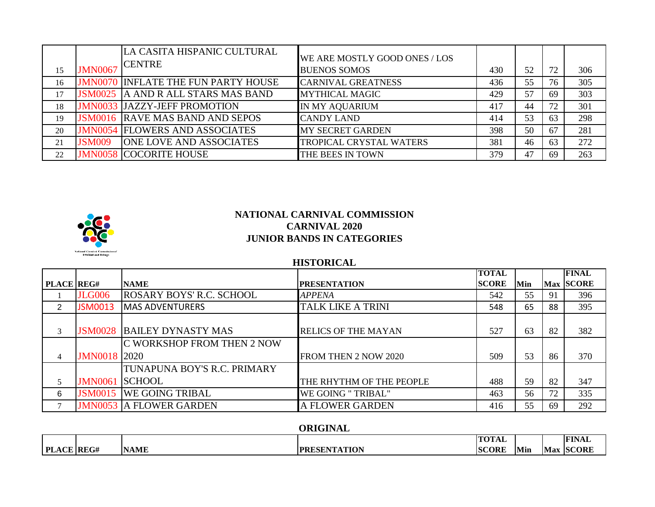|    |                | LA CASITA HISPANIC CULTURAL<br><b>ICENTRE</b> | WE ARE MOSTLY GOOD ONES / LOS |     |    |    |     |
|----|----------------|-----------------------------------------------|-------------------------------|-----|----|----|-----|
| 15 | <b>JMN0067</b> |                                               | <b>BUENOS SOMOS</b>           | 430 | 52 | 72 | 306 |
| 16 |                | <b>JMN0070 INFLATE THE FUN PARTY HOUSE</b>    | <b>CARNIVAL GREATNESS</b>     | 436 | 55 | 76 | 305 |
| 17 | <b>JSM0025</b> | A AND R ALL STARS MAS BAND                    | <b>MYTHICAL MAGIC</b>         | 429 | 57 | 69 | 303 |
| 18 |                | <b>JMN0033 JAZZY-JEFF PROMOTION</b>           | IN MY AQUARIUM                | 417 | 44 | 72 | 301 |
| 19 | <b>JSM0016</b> | <b>RAVE MAS BAND AND SEPOS</b>                | <b>CANDY LAND</b>             | 414 | 53 | 63 | 298 |
| 20 |                | <b>JMN0054 FLOWERS AND ASSOCIATES</b>         | <b>MY SECRET GARDEN</b>       | 398 | 50 | 67 | 281 |
| 21 | <b>JSM009</b>  | <b>ONE LOVE AND ASSOCIATES</b>                | TROPICAL CRYSTAL WATERS       | 381 | 46 | 63 | 272 |
| 22 |                | <b>JMN0058 COCORITE HOUSE</b>                 | THE BEES IN TOWN              | 379 | 47 | 69 | 263 |



#### **HISTORICAL**

|                   |                     |                                 |                            | <b>TOTAL</b> |     |    | <b>FINAL</b>     |
|-------------------|---------------------|---------------------------------|----------------------------|--------------|-----|----|------------------|
| <b>PLACE REG#</b> |                     | <b>NAME</b>                     | <b>PRESENTATION</b>        | <b>SCORE</b> | Min |    | <b>Max SCORE</b> |
|                   | <b>JLG006</b>       | <b>ROSARY BOYS' R.C. SCHOOL</b> | <b>APPENA</b>              | 542          | 55  | 91 | 396              |
| 2                 | <b>JSM0013</b>      | <b>MAS ADVENTURERS</b>          | <b>TALK LIKE A TRINI</b>   | 548          | 65  | 88 | 395              |
|                   |                     |                                 |                            |              |     |    |                  |
| 3                 | <b>JSM0028</b>      | <b>BAILEY DYNASTY MAS</b>       | <b>RELICS OF THE MAYAN</b> | 527          | 63  | 82 | 382              |
|                   |                     | C WORKSHOP FROM THEN 2 NOW      |                            |              |     |    |                  |
| $\overline{4}$    | <b>JMN0018</b> 2020 |                                 | FROM THEN 2 NOW 2020       | 509          | 53  | 86 | 370              |
|                   |                     | TUNAPUNA BOY'S R.C. PRIMARY     |                            |              |     |    |                  |
| 5                 | <b>JMN0061</b>      | <b>SCHOOL</b>                   | THE RHYTHM OF THE PEOPLE   | 488          | 59  | 82 | 347              |
| 6                 | <b>JSM0015</b>      | <b>WE GOING TRIBAL</b>          | WE GOING "TRIBAL"          | 463          | 56  | 72 | 335              |
|                   |                     | <b>JMN0053 A FLOWER GARDEN</b>  | A FLOWER GARDEN            | 416          | 55  | 69 | 292              |

#### **ORIGINAL**

|                             |             |                                 | <b>ITATA</b><br>TOTAL |     |            | <b>FINAl</b> |
|-----------------------------|-------------|---------------------------------|-----------------------|-----|------------|--------------|
| PI<br><b>REG#</b><br>$\cap$ | <b>NAME</b> | <b>ESENTATION</b><br><b>PRE</b> | <b>SCORE</b>          | Min | . .<br>Max | <b>SCORE</b> |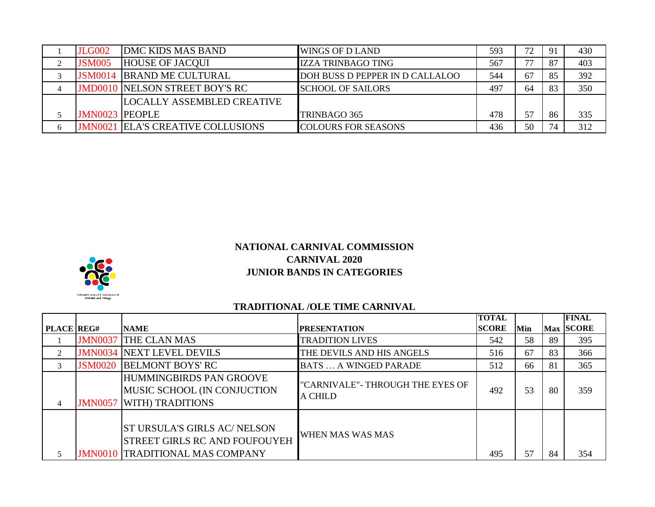| <b>JLG002</b>         | <b>DMC KIDS MAS BAND</b>              | <b>IWINGS OF D LAND</b>         | 593 | 72 | -91 | 430 |
|-----------------------|---------------------------------------|---------------------------------|-----|----|-----|-----|
| <b>JSM005</b>         | <b>HOUSE OF JACQUI</b>                | <b>IZZA TRINBAGO TING</b>       | 567 | די | 87  | 403 |
| <b>JSM0014</b>        | <b>BRAND ME CULTURAL</b>              | DOH BUSS D PEPPER IN D CALLALOO | 544 | 67 | 85  | 392 |
|                       | <b>JMD0010 NELSON STREET BOY'S RC</b> | <b>SCHOOL OF SAILORS</b>        | 497 | 64 | 83  | 350 |
|                       | <b>ILOCALLY ASSEMBLED CREATIVE</b>    |                                 |     |    |     |     |
| <b>JMN0023 PEOPLE</b> |                                       | TRINBAGO 365                    | 478 | 57 | 86  | 335 |
| JMN0021               | <b>ELA'S CREATIVE COLLUSIONS</b>      | <b>COLOURS FOR SEASONS</b>      | 436 | 50 | 74  | 312 |



## **TRADITIONAL /OLE TIME CARNIVAL**

|                   |                |                                                                                                                       |                                                    | <b>TOTAL</b> |     |    | <b>FINAL</b> |
|-------------------|----------------|-----------------------------------------------------------------------------------------------------------------------|----------------------------------------------------|--------------|-----|----|--------------|
| <b>PLACE REG#</b> |                | <b>NAME</b>                                                                                                           | <b>PRESENTATION</b>                                | <b>SCORE</b> | Min |    | Max SCORE    |
|                   | <b>JMN0037</b> | <b>THE CLAN MAS</b>                                                                                                   | <b>TRADITION LIVES</b>                             | 542          | 58  | 89 | 395          |
| $\mathfrak{D}$    |                | <b>JMN0034 NEXT LEVEL DEVILS</b>                                                                                      | THE DEVILS AND HIS ANGELS                          | 516          | 67  | 83 | 366          |
| 3                 | <b>JSM0020</b> | <b>BELMONT BOYS' RC</b>                                                                                               | <b>BATS  A WINGED PARADE</b>                       | 512          | 66  | 81 | 365          |
| 4                 | <b>JMN0057</b> | HUMMINGBIRDS PAN GROOVE<br>MUSIC SCHOOL (IN CONJUCTION<br><b>WITH) TRADITIONS</b>                                     | "CARNIVALE"- THROUGH THE EYES OF<br><b>A CHILD</b> | 492          | 53  | 80 | 359          |
|                   |                | <b>ST URSULA'S GIRLS AC/ NELSON</b><br><b>STREET GIRLS RC AND FOUFOUYEH</b><br><b>JMN0010 TRADITIONAL MAS COMPANY</b> | WHEN MAS WAS MAS                                   | 495          | 57  | 84 | 354          |